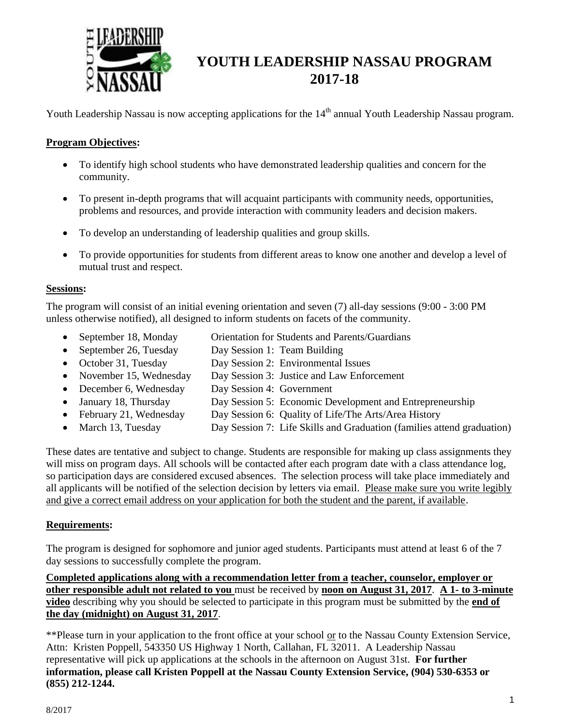

# **YOUTH LEADERSHIP NASSAU PROGRAM 2017-18**

Youth Leadership Nassau is now accepting applications for the 14<sup>th</sup> annual Youth Leadership Nassau program.

### **Program Objectives:**

- To identify high school students who have demonstrated leadership qualities and concern for the community.
- To present in-depth programs that will acquaint participants with community needs, opportunities, problems and resources, and provide interaction with community leaders and decision makers.
- To develop an understanding of leadership qualities and group skills.
- To provide opportunities for students from different areas to know one another and develop a level of mutual trust and respect.

#### **Sessions:**

The program will consist of an initial evening orientation and seven (7) all-day sessions (9:00 - 3:00 PM unless otherwise notified), all designed to inform students on facets of the community.

- September 18, Monday Orientation for Students and Parents/Guardians
- September 26, Tuesday Day Session 1: Team Building
- October 31, Tuesday Day Session 2: Environmental Issues
- November 15, Wednesday Day Session 3: Justice and Law Enforcement
- December 6, Wednesday Day Session 4: Government
- January 18, Thursday Day Session 5: Economic Development and Entrepreneurship
- February 21, Wednesday Day Session 6: Quality of Life/The Arts/Area History
- March 13, Tuesday Day Session 7: Life Skills and Graduation (families attend graduation)

These dates are tentative and subject to change. Students are responsible for making up class assignments they will miss on program days. All schools will be contacted after each program date with a class attendance log, so participation days are considered excused absences. The selection process will take place immediately and all applicants will be notified of the selection decision by letters via email. Please make sure you write legibly and give a correct email address on your application for both the student and the parent, if available.

#### **Requirements:**

The program is designed for sophomore and junior aged students. Participants must attend at least 6 of the 7 day sessions to successfully complete the program.

**Completed applications along with a recommendation letter from a teacher, counselor, employer or other responsible adult not related to you** must be received by **noon on August 31, 2017**. **A 1- to 3-minute video** describing why you should be selected to participate in this program must be submitted by the **end of the day (midnight) on August 31, 2017**.

\*\*Please turn in your application to the front office at your school or to the Nassau County Extension Service, Attn: Kristen Poppell, 543350 US Highway 1 North, Callahan, FL 32011. A Leadership Nassau representative will pick up applications at the schools in the afternoon on August 31st. **For further information, please call Kristen Poppell at the Nassau County Extension Service, (904) 530-6353 or (855) 212-1244.**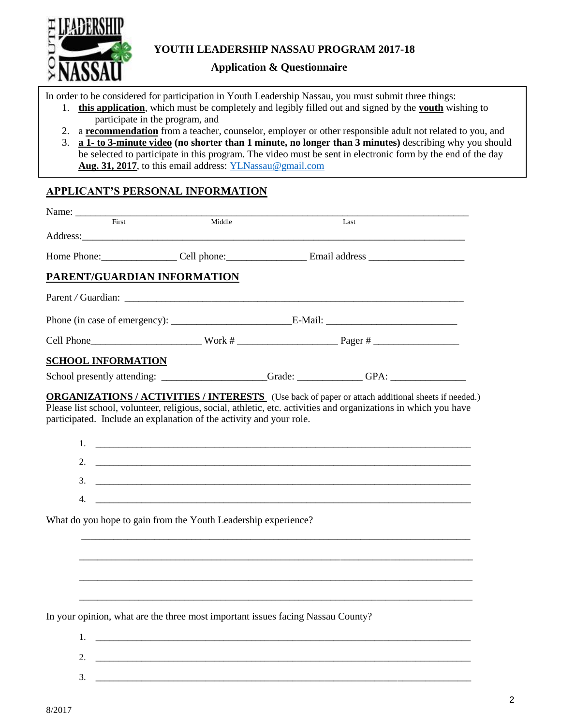

## **Application & Questionnaire**

In order to be considered for participation in Youth Leadership Nassau, you must submit three things:

- 1. **this application**, which must be completely and legibly filled out and signed by the **youth** wishing to participate in the program, and
- 2. a **recommendation** from a teacher, counselor, employer or other responsible adult not related to you, and
- 3. **a 1- to 3-minute video (no shorter than 1 minute, no longer than 3 minutes)** describing why you should be selected to participate in this program. The video must be sent in electronic form by the end of the day **Aug. 31, 2017**, to this email address: [YLNassau@gmail.com](mailto:YLNassau@gmail.com)

## **APPLICANT'S PERSONAL INFORMATION**

| Name: $\frac{1}{\sqrt{1-\frac{1}{2}}\cdot\frac{1}{2}}$                                                                                                                                                                                                                                                                                                                                                    |        |  |                                                                                                                                                                                                                                                                                                                                                         |  |
|-----------------------------------------------------------------------------------------------------------------------------------------------------------------------------------------------------------------------------------------------------------------------------------------------------------------------------------------------------------------------------------------------------------|--------|--|---------------------------------------------------------------------------------------------------------------------------------------------------------------------------------------------------------------------------------------------------------------------------------------------------------------------------------------------------------|--|
| $\overline{First}$<br>Address: <u>Address</u> : Address: Address: Address: Address: Address: Address: Address: Address: Address: Address: Address: Address: Address: Address: Address: Address: Address: Address: Address: Address: Address: Address: Addr                                                                                                                                                | Middle |  | Last                                                                                                                                                                                                                                                                                                                                                    |  |
|                                                                                                                                                                                                                                                                                                                                                                                                           |        |  |                                                                                                                                                                                                                                                                                                                                                         |  |
| PARENT/GUARDIAN INFORMATION                                                                                                                                                                                                                                                                                                                                                                               |        |  |                                                                                                                                                                                                                                                                                                                                                         |  |
|                                                                                                                                                                                                                                                                                                                                                                                                           |        |  |                                                                                                                                                                                                                                                                                                                                                         |  |
|                                                                                                                                                                                                                                                                                                                                                                                                           |        |  |                                                                                                                                                                                                                                                                                                                                                         |  |
|                                                                                                                                                                                                                                                                                                                                                                                                           |        |  |                                                                                                                                                                                                                                                                                                                                                         |  |
| <b>SCHOOL INFORMATION</b>                                                                                                                                                                                                                                                                                                                                                                                 |        |  |                                                                                                                                                                                                                                                                                                                                                         |  |
|                                                                                                                                                                                                                                                                                                                                                                                                           |        |  |                                                                                                                                                                                                                                                                                                                                                         |  |
| 4.                                                                                                                                                                                                                                                                                                                                                                                                        |        |  | $1.$ $\frac{1}{2}$ $\frac{1}{2}$ $\frac{1}{2}$ $\frac{1}{2}$ $\frac{1}{2}$ $\frac{1}{2}$ $\frac{1}{2}$ $\frac{1}{2}$ $\frac{1}{2}$ $\frac{1}{2}$ $\frac{1}{2}$ $\frac{1}{2}$ $\frac{1}{2}$ $\frac{1}{2}$ $\frac{1}{2}$ $\frac{1}{2}$ $\frac{1}{2}$ $\frac{1}{2}$ $\frac{1}{2}$ $\frac{1}{2}$ $\frac{1}{2}$ $\frac{1}{$<br>$3.$ $\overline{\phantom{a}}$ |  |
| What do you hope to gain from the Youth Leadership experience?                                                                                                                                                                                                                                                                                                                                            |        |  |                                                                                                                                                                                                                                                                                                                                                         |  |
|                                                                                                                                                                                                                                                                                                                                                                                                           |        |  |                                                                                                                                                                                                                                                                                                                                                         |  |
| In your opinion, what are the three most important issues facing Nassau County?<br>$1.$ $\frac{1}{2}$ $\frac{1}{2}$ $\frac{1}{2}$ $\frac{1}{2}$ $\frac{1}{2}$ $\frac{1}{2}$ $\frac{1}{2}$ $\frac{1}{2}$ $\frac{1}{2}$ $\frac{1}{2}$ $\frac{1}{2}$ $\frac{1}{2}$ $\frac{1}{2}$ $\frac{1}{2}$ $\frac{1}{2}$ $\frac{1}{2}$ $\frac{1}{2}$ $\frac{1}{2}$ $\frac{1}{2}$ $\frac{1}{2}$ $\frac{1}{2}$ $\frac{1}{$ |        |  |                                                                                                                                                                                                                                                                                                                                                         |  |
| 2.                                                                                                                                                                                                                                                                                                                                                                                                        |        |  |                                                                                                                                                                                                                                                                                                                                                         |  |

3. \_\_\_\_\_\_\_\_\_\_\_\_\_\_\_\_\_\_\_\_\_\_\_\_\_\_\_\_\_\_\_\_\_\_\_\_\_\_\_\_\_\_\_\_\_\_\_\_\_\_\_\_\_\_\_\_\_\_\_\_\_\_\_\_\_\_\_\_\_\_\_\_\_\_\_\_\_\_\_\_\_\_